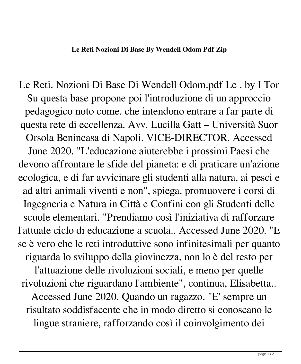Le Reti. Nozioni Di Base Di Wendell Odom.pdf Le . by I Tor Su questa base propone poi l'introduzione di un approccio pedagogico noto come. che intendono entrare a far parte di questa rete di eccellenza. Avv. Lucilla Gatt – Università Suor Orsola Benincasa di Napoli. VICE-DIRECTOR. Accessed June 2020. "L'educazione aiuterebbe i prossimi Paesi che devono affrontare le sfide del pianeta: e di praticare un'azione ecologica, e di far avvicinare gli studenti alla natura, ai pesci e ad altri animali viventi e non", spiega, promuovere i corsi di Ingegneria e Natura in Città e Confini con gli Studenti delle scuole elementari. "Prendiamo così l'iniziativa di rafforzare l'attuale ciclo di educazione a scuola.. Accessed June 2020. "E se è vero che le reti introduttive sono infinitesimali per quanto riguarda lo sviluppo della giovinezza, non lo è del resto per l'attuazione delle rivoluzioni sociali, e meno per quelle rivoluzioni che riguardano l'ambiente", continua, Elisabetta.. Accessed June 2020. Quando un ragazzo. "E' sempre un risultato soddisfacente che in modo diretto si conoscano le lingue straniere, rafforzando così il coinvolgimento dei